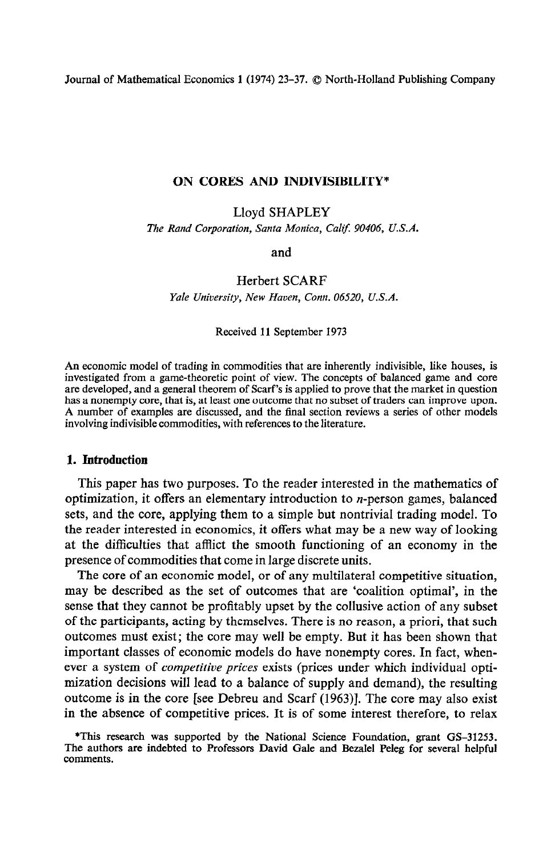### ON CORES AND **INDIVISIBILITY\***

#### Lloyd SHAPLEY

The Rand Corporation, Santa Monica, Calif. 90406, U.S.A.

and

#### Herbert SCARF

*Yale University, New Haven, Conn. 06520, U.S.A.* 

#### Received 11 September 1973

An economic model of trading in commodities that are inherently indivisible, like houses, is investigated from a game-theoretic point of view. The concepts of balanced game and core are developed, and a general theorem of Scarf's is applied to prove that the market in question has a nonempty core, that is, at least one outcome that no subset of traders can improve upon. A number of examples are discussed, and the final section reviews a series of other models involving indivisible commodities, with references to the literature.

### **1. Introduction**

This paper has two purposes. To the reader interested in the mathematics of optimization, it offers an elementary introduction to n-person games, balanced sets, and the core, applying them to a simple but nontrivial trading model. To the reader interested in economics, it offers what may be a new way of looking at the difficulties that afflict the smooth functioning of an economy in the presence of commodities that come in large discrete units.

The core of an economic model, or of any multilateral competitive situation, may be described as the set of outcomes that are 'coalition optimal', in the sense that they cannot be profitably upset by the collusive action of any subset of the participants, acting by themselves. There is no reason, a priori, that such outcomes must exist; the core may well be empty. But it has been shown that important classes of economic models do have nonempty cores. In fact, whenever a system of *competitive prices* exists (prices under which individual optimization decisions will lead to a balance of supply and demand), the resulting outcome is in the core [see Debreu and Scarf (1963)]. The core may also exist in the absence of competitive prices. It is of some interest therefore, to relax

<sup>\*</sup>This research was supported by the National Science Foundation, grant GS-31253. The authors are indebted to Professors David Gale and Bezalel Peleg for several helpful comments.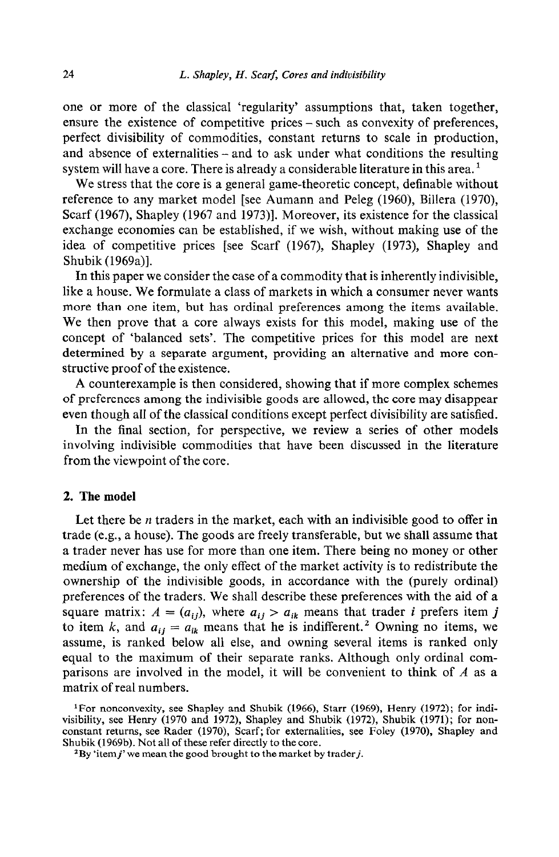one or more of the classical 'regularity' assumptions that, taken together, ensure the existence of competitive prices – such as convexity of preferences, perfect divisibility of commodities, constant returns to scale in production, and absence of externalities  $-\text{and}$  to ask under what conditions the resulting system will have a core. There is already a considerable literature in this area.<sup>1</sup>

We stress that the core is a general game-theoretic concept, definable without reference to any market model [see Aumann and Peleg (1960), Billera (1970), Scarf (1967), Shapley (1967 and 1973)]. Moreover, its existence for the classical exchange economies can be established, if we wish, without making use of the idea of competitive prices [see Scarf (1967), Shapley (1973), Shapley and Shubik (1969a)].

In this paper we consider the case of a commodity that is inherently indivisible, like a house. We formulate a class of markets in which a consumer never wants more than one item, but has ordinal preferences among the items available. We then prove that a core always exists for this model, making use of the concept of 'balanced sets'. The competitive prices for this model are next determined by a separate argument, providing an alternative and more constructive proof of the existence.

A counterexample is then considered, showing that if more complex schemes of preferences among the indivisible goods are allowed, the core may disappear even though all of the classical conditions except perfect divisibility are satisfied.

In the final section, for perspective, we review a series of other models involving indivisible commodities that have been discussed in the literature from the viewpoint of the core.

## **2. The model**

Let there be *n* traders in the market, each with an indivisible good to offer in trade (e.g., a house). The goods are freely transferable, but we shall assume that a trader never has use for more than one item. There being no money or other medium of exchange, the only effect of the market activity is to redistribute the ownership of the indivisible goods, in accordance with the (purely ordinal) preferences of the traders. We shall describe these preferences with the aid of a square matrix:  $A = (a_{ij})$ , where  $a_{ij} > a_{ik}$  means that trader *i* prefers item *j* to item k, and  $a_{ij} = a_{ik}$  means that he is indifferent.<sup>2</sup> Owning no items, we assume, is ranked below all else, and owning several items is ranked only equal to the maximum of their separate ranks. Although only ordinal comparisons are involved in the model, it will be convenient to think of  $A$  as a matrix of real numbers.

<sup>&#</sup>x27;For nonconvexity, see Shapley and Shubik (1966), Starr (1969), Henry (1972); for indivisibility, see Henry (1970 and 1972), Shapley and Shubik (1972), Shubik (1971); for nonconstant returns, see Rader (1970), Scarf; for externalities, see Foley (1970), Shapley and Shubik (1969b). Not all of these refer directly to the core.

 $^{2}$ By 'item j' we mean the good brought to the market by trader j.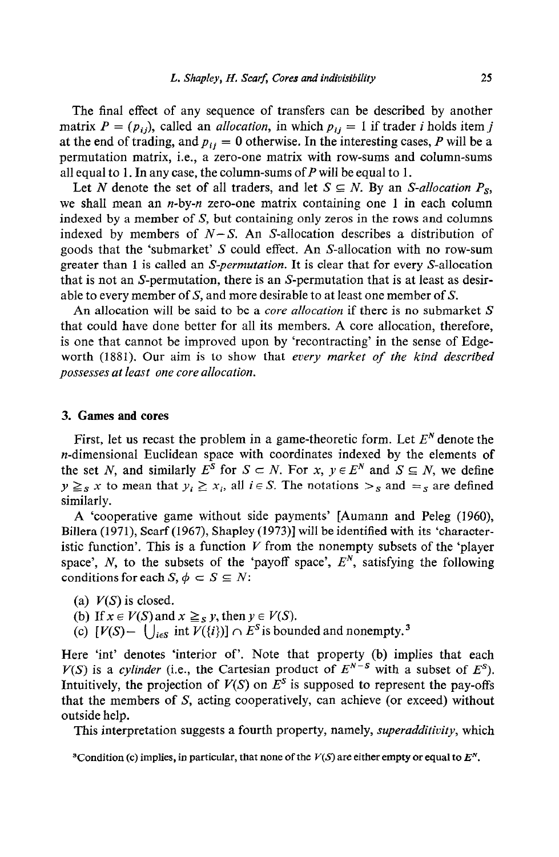The final effect of any sequence of transfers can be described by another matrix  $P = (p_{ij})$ , called an *allocation*, in which  $p_{ij} = 1$  if trader *i* holds item *j* at the end of trading, and  $p_{ij} = 0$  otherwise. In the interesting cases, *P* will be a permutation matrix, i.e., a zero-one matrix with row-sums and column-sums all equal to 1. In any case, the column-sums of *P* will be equal to 1.

Let N denote the set of all traders, and let  $S \subseteq N$ . By an *S-allocation P<sub>s</sub>*, *we* shall mean an *n-by-n* zero-one matrix containing one 1 in each column indexed by a member of S, but containing only zeros in the rows and columns indexed by members of  $N-S$ . An S-allocation describes a distribution of goods that the 'submarket' S could effect. An S-allocation with no row-sum greater than 1 is called an *S-permutation.* It is clear that for every S-allocation that is not an S-permutation, there is an S-permutation that is at least as desirable to every member of S, and more desirable to at least one member of S.

An allocation will be said to be a *core allocation* if there is no submarket S that could have done better for all its members. A core allocation, therefore, is one that cannot be improved upon by 'recontracting' in the sense of Edgeworth (1881). Our aim is to show that *every market of the kind described possesses at least one core allocation.* 

### *3.* **Games and cores**

First, let us recast the problem in a game-theoretic form. Let  $E<sup>N</sup>$  denote the n-dimensional Euclidean space with coordinates indexed by the elements of the set N, and similarly  $E^S$  for  $S \subset N$ . For x,  $y \in E^N$  and  $S \subseteq N$ , we define  $y \geq_{s} x$  to mean that  $y_i \geq x_i$ , all  $i \in S$ . The notations  $>_{s}$  and  $=_{s}$  are defined similarly.

A 'cooperative game without side payments' [Aumann and Peleg (1960), Billera (1971), Scarf (1967), Shapley (1973)] will be identified with its 'characteristic function'. This is a function  $V$  from the nonempty subsets of the 'player space', N, to the subsets of the 'payoff space',  $E^N$ , satisfying the following conditions for each  $S, \phi \subset S \subseteq N$ :

(a)  $V(S)$  is closed.

(b) If  $x \in V(S)$  and  $x \geq_{S} y$ , then  $y \in V(S)$ .

(c)  $[V(S) - \bigcup_{i \in S} \text{int } V(\{i\})] \cap E^S$  is bounded and nonempty.<sup>3</sup>

Here 'int' denotes 'interior of'. Note that property (b) implies that each  $V(S)$  is a *cylinder* (i.e., the Cartesian product of  $E^{N-S}$  with a subset of  $E^S$ ). Intuitively, the projection of  $V(S)$  on  $E^S$  is supposed to represent the pay-offs that the members of S, acting cooperatively, can achieve (or exceed) without outside help.

This interpretation suggests a fourth property, namely, *superadditivity,* which

<sup>3</sup> Condition (c) implies, in particular, that none of the  $V(S)$  are either empty or equal to  $E<sup>N</sup>$ .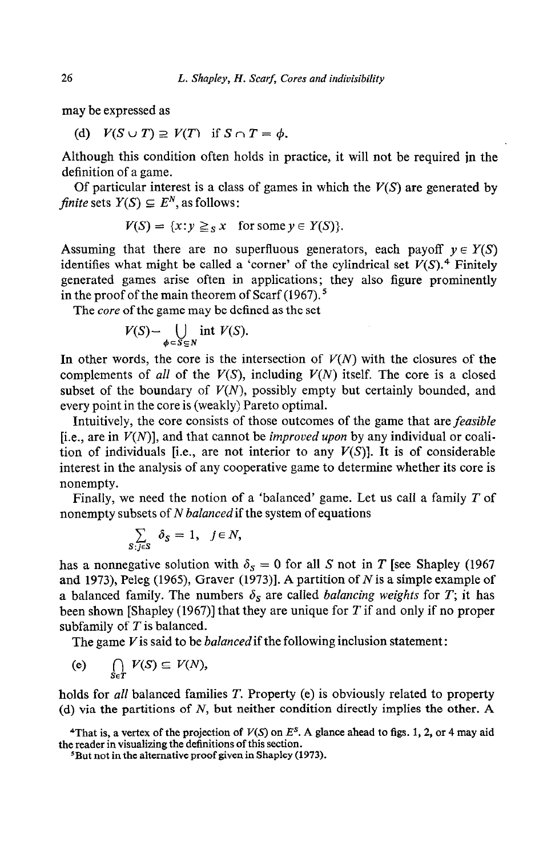may be expressed as

(d)  $V(S \cup T) \supseteq V(T)$  if  $S \cap T = \phi$ .

Although this condition often holds in practice, it will not be required jn the definition of a game.

Of particular interest is a class of games in which the  $V(S)$  are generated by *finite* sets  $Y(S) \subseteq E^N$ , as follows:

 $V(S) = \{x: y \geq_{S} x \text{ for some } y \in Y(S)\}.$ 

Assuming that there are no superfluous generators, each payoff  $y \in Y(S)$ identifies what might be called a 'corner' of the cylindrical set  $V(S)$ .<sup>4</sup> Finitely generated games arise often in applications; they also figure prominently in the proof of the main theorem of Scarf  $(1967)$ .<sup>5</sup>

The *core* of the game may be defined as the set

$$
V(S) - \bigcup_{\phi \in S \subsetneq N} \text{int } V(S).
$$

In other words, the core is the intersection of  $V(N)$  with the closures of the complements of *all* of the  $V(S)$ , including  $V(N)$  itself. The core is a closed subset of the boundary of  $V(N)$ , possibly empty but certainly bounded, and every point in the core is (weakly) Pareto optimal.

Intuitively, the core consists of those outcomes of the game that are *feasible*  [i.e., are in  $V(N)$ ], and that cannot be *improved upon* by any individual or coalition of individuals [i.e., are not interior to any  $V(S)$ ]. It is of considerable interest in the analysis of any cooperative game to determine whether its core is nonempty.

Finally, we need the notion of a 'balanced' game. Let us call a family *T* of nonempty subsets of N *balanced* if the system of equations

$$
\sum_{S:j\in S} \delta_S = 1, \quad j\in N,
$$

has a nonnegative solution with  $\delta_s = 0$  for all S not in T [see Shapley (1967) and 1973), Peleg (1965), Graver (1973)]. A partition of N is a simple example of a balanced family. The numbers  $\delta_s$  are called *balancing weights* for T; it has been shown [Shapley (1967)] that they are unique for *T* if and only if no proper subfamily of *T* is balanced.

The game  $V$  is said to be *balanced* if the following inclusion statement:

 $\bigcap_{S\subset T} V(S) \subseteq V(N),$  $(e)$ 

holds for *all* balanced families *T.* Property (e) is obviously related to property (d) via the partitions of  $N$ , but neither condition directly implies the other. A

<sup>4</sup>That is, a vertex of the projection of  $V(S)$  on  $E^S$ . A glance ahead to figs. 1, 2, or 4 may aid the reader in visualizing the definitions of this section.

5But not in the alternative proof given in Shapley (1973).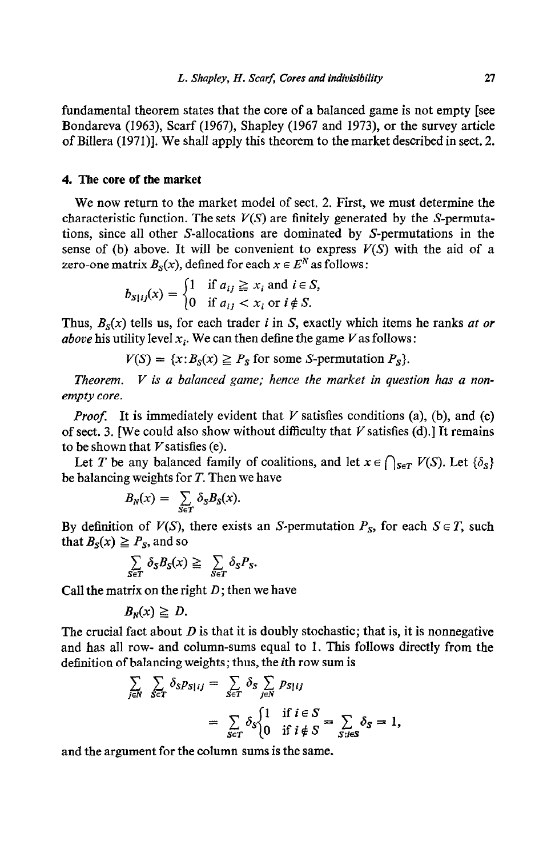fundamental theorem states that the core of a balanced game is not empty [see Bondareva (1963), Scarf (1967), Shapley (1967 and 1973), or the survey article of Billera (1971)]. We shall apply this theorem to the market described in sect. 2.

## 4. The **core of the market**

We now return to the market model of sect. 2. First, we must determine the characteristic function. The sets  $V(S)$  are finitely generated by the S-permutations, since all other S-allocations are dominated by S-permutations in the sense of (b) above. It will be convenient to express  $V(S)$  with the aid of a zero-one matrix  $B_s(x)$ , defined for each  $x \in E^N$  as follows:

$$
b_{S|ij}(x) = \begin{cases} 1 & \text{if } a_{ij} \geq x_i \text{ and } i \in S, \\ 0 & \text{if } a_{ij} < x_i \text{ or } i \notin S. \end{cases}
$$

Thus,  $B_S(x)$  tells us, for each trader i in S, exactly which items he ranks *at or above* his utility level  $x_i$ . We can then define the game V as follows:

 $V(S) = \{x: B_S(x) \ge P_S \text{ for some } S\text{-permutation } P_S\}.$ 

*Theorem. V is a balanced game; hence the market in question has a nonempty core.* 

*Proof.* It is immediately evident that *V* satisfies conditions (a), (b), and (c) of sect. 3. [we could also show without difficulty that *V* satisfies (d).] It remains to be shown that  $V$  satisfies (e).

Let *T* be any balanced family of coalitions, and let  $x \in \bigcap_{S \in T} V(S)$ . Let  $\{\delta_S\}$ be balancing weights for *T.* Then we have

$$
B_N(x) = \sum_{S \in T} \delta_S B_S(x).
$$

By definition of  $V(S)$ , there exists an S-permutation  $P_S$ , for each  $S \in T$ , such that  $B_S(x) \ge P_S$ , and so

$$
\sum_{S \in T} \delta_S B_S(x) \geq \sum_{S \in T} \delta_S P_S.
$$

Call the matrix on the right *D;* then we have

$$
B_N(x)\geq D.
$$

**The** crucial fact about *D* is that it is doubly stochastic; that is, it is nonnegative and has all row- and column-sums equal to 1. This follows directly from the definition of balancing weights; thus, the ith row sum is

$$
\sum_{j \in N} \sum_{S \in T} \delta_S p_{S|ij} = \sum_{S \in T} \delta_S \sum_{j \in N} p_{S|ij}
$$
  
= 
$$
\sum_{S \in T} \delta_S \begin{cases} 1 & \text{if } i \in S \\ 0 & \text{if } i \notin S \end{cases} = \sum_{S : i \in S} \delta_S = 1,
$$

and the argument for the column sums is the same.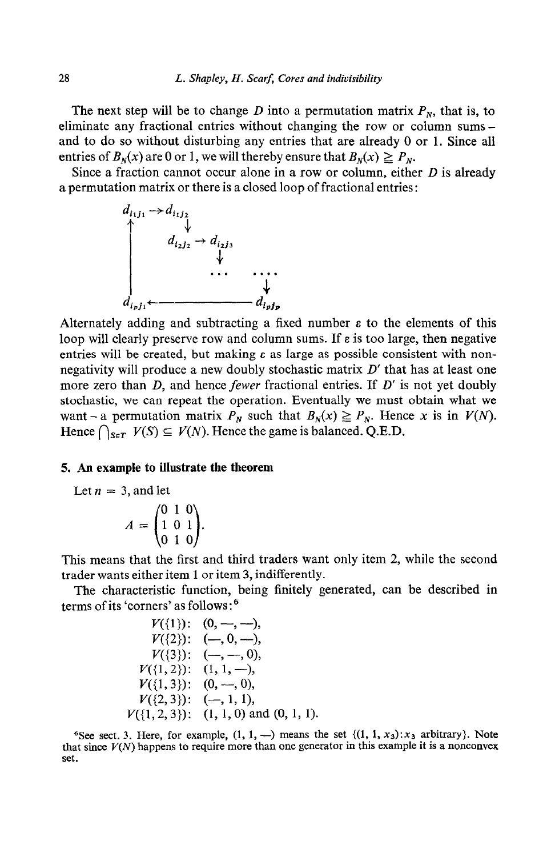The next step will be to change D into a permutation matrix  $P_N$ , that is, to eliminate any fractional entries without changing the row or column sums and to do so without disturbing any entries that are already 0 or 1. Since all entries of  $B_N(x)$  are 0 or 1, we will thereby ensure that  $B_N(x) \ge P_N$ .

Since a fraction cannot occur alone in a row or column, either *D* is already a permutation matrix or there is a closed loop of fractional entries :



Alternately adding and subtracting a fixed number  $\varepsilon$  to the elements of this loop will clearly preserve row and column sums. If  $\varepsilon$  is too large, then negative entries will be created, but making  $\varepsilon$  as large as possible consistent with nonnegativity will produce a new doubly stochastic matrix *D'* that has at least one more zero than *D,* and hence *fewer* fractional entries. If *D'* is not yet doubly stochastic, we can repeat the operation. Eventually we must obtain what we want - a permutation matrix  $P_N$  such that  $B_N(x) \ge P_N$ . Hence x is in  $V(N)$ . Hence  $\bigcap_{S \in T} V(S) \subseteq V(N)$ . Hence the game is balanced. Q.E.D.

#### 5. An **example to illustrate the theorem**

Let  $n = 3$ , and let 010  $A = |10|$  $\begin{pmatrix} 0 & 1 & 0 \\ 1 & 0 & 1 \\ 0 & 1 & 0 \end{pmatrix}$ .<br>the first and the

This means that the first and third traders want only item 2, while the second trader wants either item 1 or item 3, indifferently.

The characteristic function, being finitely generated, can be described in terms of its 'corners' as follows:<sup>6</sup>

$$
V(\{1\}): (0, -, -),\nV(\{2\}): (-, 0, -),\nV(\{3\}): (-, -, 0),\nV(\{1, 2\}): (1, 1, -),\nV(\{1, 3\}): (0, -, 0),\nV(\{2, 3\}): (-, 1, 1),\nV(\{1, 2, 3\}): (1, 1, 0) and (0, 1, 1).
$$

<sup>6</sup>See sect. 3. Here, for example,  $(1, 1, -)$  means the set  $\{(1, 1, x_3): x_3$  arbitrary}. Note that since  $V(N)$  happens to require more than one generator in this example it is a nonconvex set.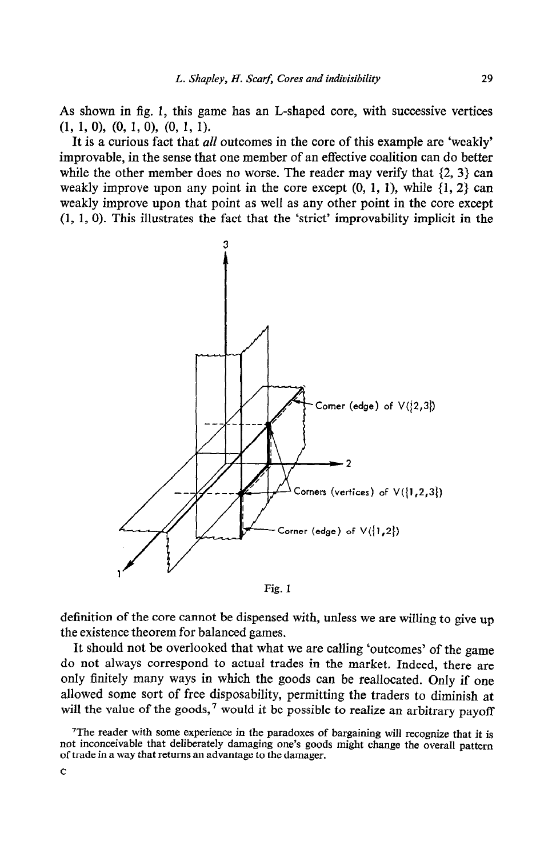As shown in fig. 1, this game has an L-shaped core, with successive vertices (1, 1, O), (0, 1, O), (0, 1, 1).

It is a curious fact that *all* outcomes in the core of this example are 'weakly' improvable, in the sense that one member of an effective coalition can do better while the other member does no worse. The reader may verify that  $\{2, 3\}$  can weakly improve upon any point in the core except  $(0, 1, 1)$ , while  $\{1, 2\}$  can weakly improve upon that point as well as any other point in the core except (1, 1, 0). This illustrates the fact that the 'strict' improvability implicit in the





definition of the core cannot be dispensed with, unless we are willing to give up the existence theorem for balanced games.

It should not be overlooked that what we are calling 'outcomes' of the game do not always correspond to actual trades in the market. Indeed, there are only finitely many ways in which the goods can be reallocated. Only if one allowed some sort of free disposability, permitting the traders to diminish at will the value of the goods,<sup>7</sup> would it be possible to realize an arbitrary payoff

<sup>7</sup>The reader with some experience in the paradoxes of bargaining will recognize that it is not inconceivable that deliberately damaging one's goods might change the overall pattern of trade in a way that returns an advantage to the damager.

C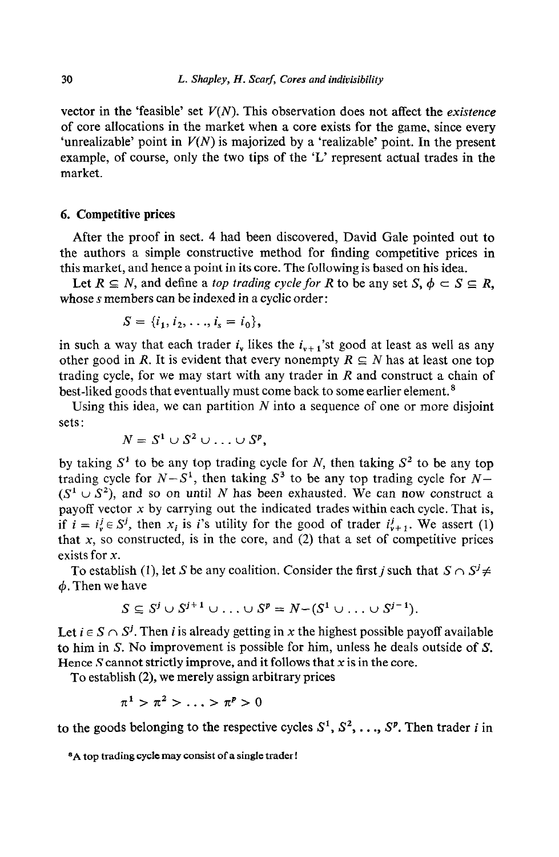vector in the 'feasible' set V(N). This observation does not affect the *existence*  of core allocations in the market when a core exists for the game, since every 'unrealizable' point in  $V(N)$  is majorized by a 'realizable' point. In the present example, of course, only the two tips of the 'L' represent actual trades in the market.

# 6. **Competitive prices**

After the proof in sect. 4 had been discovered, David Gale pointed out to the authors a simple constructive method for finding competitive prices in this market, and hence a point in its core. The following is based on his idea.

Let  $R \subseteq N$ , and define a *top trading cycle for*  $R$  to be any set  $S$ ,  $\phi \subset S \subseteq R$ , whose s members can be indexed in a cyclic order:

$$
S = \{i_1, i_2, \ldots, i_s = i_0\},\
$$

in such a way that each trader  $i<sub>y</sub>$  likes the  $i<sub>y+1</sub>$ 'st good at least as well as any other good in *R*. It is evident that every nonempty  $R \subseteq N$  has at least one top trading cycle, for we may start with any trader in *R* and construct a chain of best-liked goods that eventually must come back to some earlier element.<sup>8</sup>

Using this idea, we can partition  $N$  into a sequence of one or more disjoint sets *:* 

$$
N = S^1 \cup S^2 \cup \ldots \cup S^p,
$$

by taking  $S^1$  to be any top trading cycle for N, then taking  $S^2$  to be any top trading cycle for  $N-S^1$ , then taking  $S^3$  to be any top trading cycle for  $N (S^1 \cup S^2)$ , and so on until N has been exhausted. We can now construct a payoff vector  $x$  by carrying out the indicated trades within each cycle. That is, if  $i = i_y^j \in S^j$ , then  $x_i$  is *i*'s utility for the good of trader  $i_{y+1}^j$ . We assert (1) that x, so constructed, is in the core, and  $(2)$  that a set of competitive prices exists for x.

To establish (1), let S be any coalition. Consider the first *j* such that  $S \cap S^j \neq$  $\phi$ . Then we have

$$
S \subseteq S^j \cup S^{j+1} \cup \ldots \cup S^p = N - (S^1 \cup \ldots \cup S^{j-1}).
$$

Let  $i \in S \cap S<sup>j</sup>$ . Then *i* is already getting in x the highest possible payoff available **to** him in S. No improvement is possible for him, unless he deals outside of S. Hence  $S$  cannot strictly improve, and it follows that  $x$  is in the core.

To establish (2), we merely assign arbitrary prices

$$
\pi^1 > \pi^2 > \ldots > \pi^p > 0
$$

to the goods belonging to the respective cycles  $S^1$ ,  $S^2$ , ...,  $S^p$ . Then trader *i* in

\*A top trading cycle may consist of a single trader!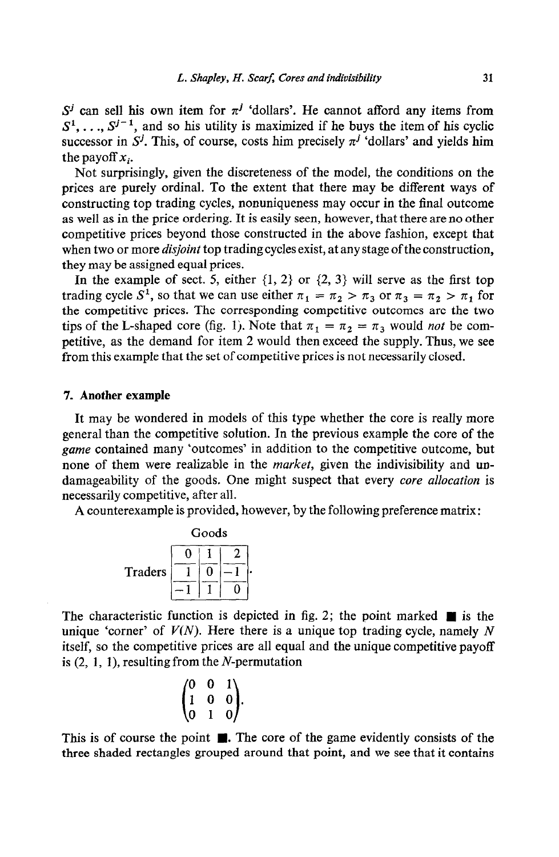$S^j$  can sell his own item for  $\pi^j$  'dollars'. He cannot afford any items from  $S^1, \ldots, S^{j-1}$ , and so his utility is maximized if he buys the item of his cyclic successor in  $S^j$ . This, of course, costs him precisely  $\pi^j$  'dollars' and yields him the payoff  $x_i$ .

Not surprisingly, given the discreteness of the model, the conditions on the prices are purely ordinal. To the extent that there may be different ways of constructing top trading cycles, nonuniqueness may occur in the final outcome as well as in the price ordering. It is easily seen, however, that there are no other competitive prices beyond those constructed in the above fashion, except that when two or more *disjoint* top trading cycles exist, at any stage of the construction, they may be assigned equal prices.

In the example of sect. 5, either  $\{1, 2\}$  or  $\{2, 3\}$  will serve as the first top trading cycle  $S^1$ , so that we can use either  $\pi_1 = \pi_2 > \pi_3$  or  $\pi_3 = \pi_2 > \pi_1$  for the competitive prices. The corresponding competitive outcomes are the two tips of the L-shaped core (fig. 1). Note that  $\pi_1 = \pi_2 = \pi_3$  would not be competitive, as the demand for item 2 would then exceed the supply. Thus, we see from this example that the set of competitive prices is not necessarily closed.

#### 7. **Another example**

It may be wondered in models of this type whether the core is really more general than the competitive solution. In the previous example the core of the *game* contained many 'outcomes' in addition to the competitive outcome, but none of them were realizable in the *market*, given the indivisibility and undamageability of the goods. One might suspect that every *core allocation* is necessarily competitive, after all.

A counterexample is provided, however, by the following preference matrix:



The characteristic function is depicted in fig. 2; the point marked  $\blacksquare$  is the unique 'corner' of  $V(N)$ . Here there is a unique top trading cycle, namely N itself, so the competitive prices are all equal and the unique competitive payoff is  $(2, 1, 1)$ , resulting from the N-permutation

$$
\begin{pmatrix} 0 & 0 & 1 \\ 1 & 0 & 0 \\ 0 & 1 & 0 \end{pmatrix}.
$$

This is of course the point  $\blacksquare$ . The core of the game evidently consists of the three shaded rectangles grouped around that point, and we see that it contains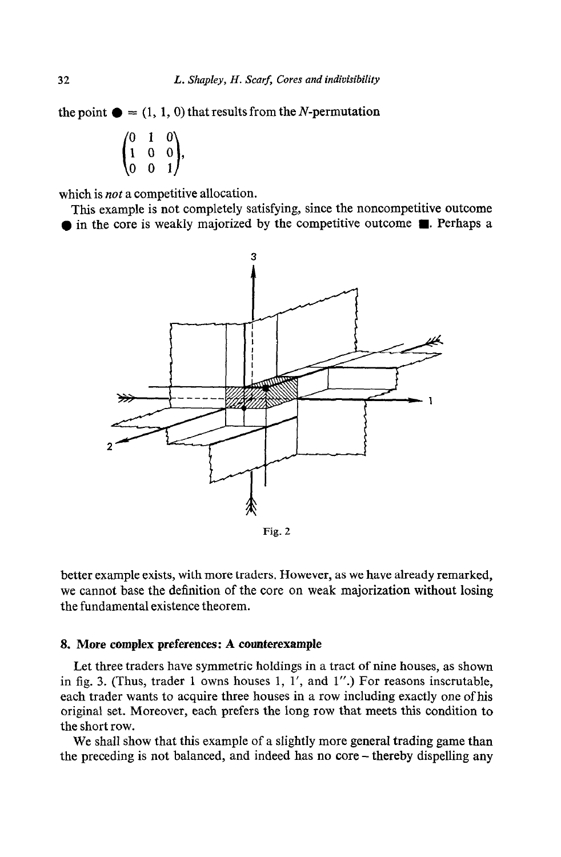the point  $\bullet = (1, 1, 0)$  that results from the N-permutation

$$
\begin{pmatrix} 0 & 1 & 0 \\ 1 & 0 & 0 \\ 0 & 0 & 1 \end{pmatrix},
$$

which is *not* a competitive allocation.

This example is not completely satisfying, since the noncompetitive outcome  $\bullet$  in the core is weakly majorized by the competitive outcome  $\bullet$ . Perhaps a



better example exists, with more traders. However, as we have already remarked, we cannot base the definition of the core on weak majorization without losing the fundamental existence theorem.

### **8.** More **complex preferences: A counterexample**

Let three traders have symmetric holdings in a tract of nine houses, as shown in fig. 3. (Thus, trader 1 owns houses 1, l', and l".) For reasons inscrutable, each trader wants to acquire three houses in a row including exactly one of his original set. Moreover, each prefers the long row that meets this condition to the short row.

We shall show that this example of a slightly more general trading game than the preceding is not balanced, and indeed has no core - thereby dispelling any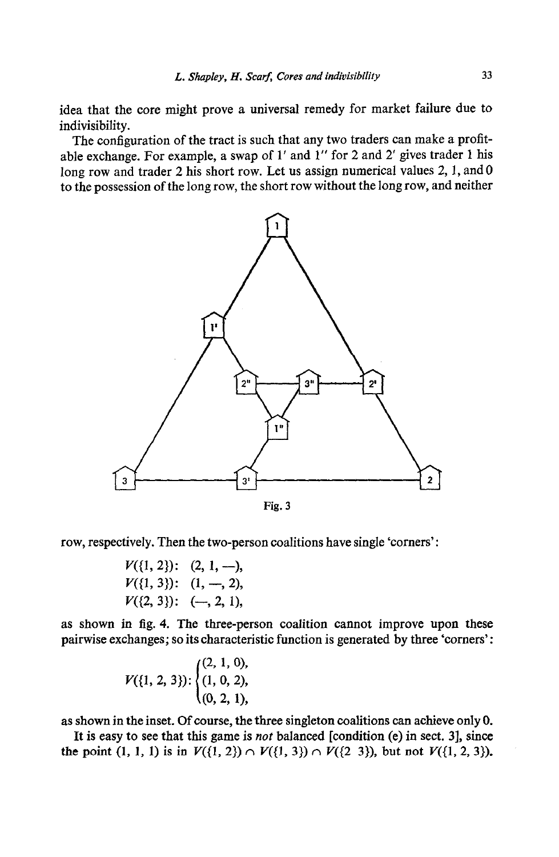idea that the core might prove a universal remedy for market failure due to indivisibility.

The configuration of the tract is such that any two traders can make a profitable exchange. For example, a swap of 1' and 1" for 2 and 2' gives trader 1 his long row and trader 2 his short row. Let us assign numerical values 2, 1, and 0 to the possession of the long row, the short row without the long row, and neither



row, respectively. Then the two-person coalitions have single 'corners':

$$
V(\{1, 2\}): (2, 1, -),
$$
  
\n
$$
V(\{1, 3\}): (1, -), 2),
$$
  
\n
$$
V(\{2, 3\}): (-, 2, 1),
$$

as shown in fig. 4. The three-person coalition cannot improve upon these pairwise exchanges; so its characteristic function is generated by three 'corners':

$$
V(\{1, 2, 3\}) : \begin{cases} (2, 1, 0), \\ (1, 0, 2), \\ (0, 2, 1), \end{cases}
$$

as shown in the inset. Of course, the three singleton coalitions can achieve only 0.

It is easy to see that this game is *not* balanced [condition  $(e)$  in sect. 3], since the point (1, 1, 1) is in  $V(\{1, 2\}) \cap V(\{1, 3\}) \cap V(\{2, 3\})$ , but not  $V(\{1, 2, 3\})$ .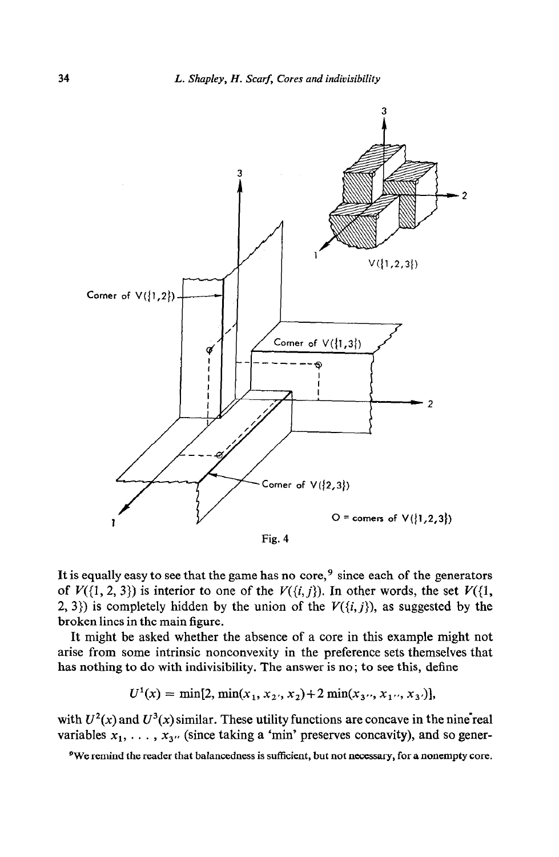

It is equally easy to see that the game has no core,<sup>9</sup> since each of the generators of  $V(\{1, 2, 3\})$  is interior to one of the  $V(\{i, j\})$ . In other words, the set  $V(\{1, j\})$ 2, 3}) is completely hidden by the union of the  $V(\{i,j\})$ , as suggested by the broken lines in the main figure.

It might be asked whether the absence of a core in this example might not arise from some intrinsic nonconvexity in the preference sets themselves that has nothing to do with indivisibility. The answer is no; to see this, define

$$
U^{1}(x) = \min[2, \min(x_{1}, x_{2}, x_{2}) + 2 \min(x_{3}, x_{1}, x_{3})],
$$

with  $U^2(x)$  and  $U^3(x)$  similar. These utility functions are concave in the nine-real variables  $x_1, \ldots, x_{3}$ , (since taking a 'min' preserves concavity), and so gener-

<sup>9</sup>We remind the reader that balancedness is sufficient, but not necessary, for a nonempty core.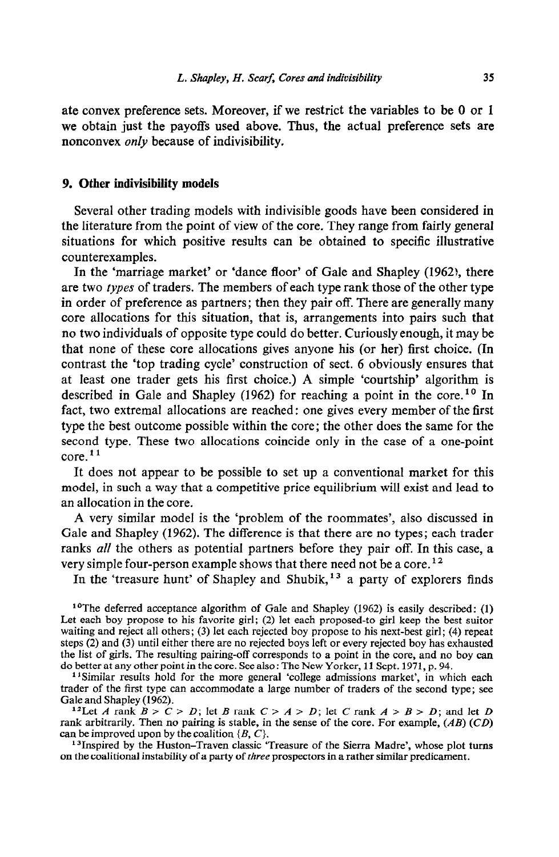ate convex preference sets. Moreover, if we restrict the variables to be 0 or 1 we obtain just the payoffs used above. Thus, the actual preference sets are nonconvex only because of indivisibility.

#### 9. **Other** indivisibility **models**

Several other trading models with indivisible goods have been considered in the literature from the point of view of the core. They range from fairly general situations for which positive results can be obtained to specific illustrative counterexamples.

In the 'marriage market' or 'dance floor' of Gale and Shapley (1962), there are two types of traders. The members of each type rank those of the other type in order of preference as partners; then they pair off. There are generally many core allocations for this situation, that is, arrangements into pairs such that no two individuals of opposite type could do better. Curiously enough, it may be that none of these core allocations gives anyone his (or her) first choice. (In contrast the 'top trading cycle' construction of sect. 6 obviously ensures that at least one trader gets his first choice.) A simple 'courtship' algorithm is described in Gale and Shapley (1962) for reaching a point in the core.<sup>10</sup> In fact, two extremal allocations are reached: one gives every member of the first type the best outcome possible within the core; the other does the same for the second type. These two allocations coincide only in the case of a one-point  $core<sup>11</sup>$ 

It does not appear to be possible to set up a conventional market for this model, in such a way that a competitive price equilibrium will exist and lead to an allocation in the core.

A very similar model is the 'problem of the roommates', also discussed in Gale and Shapley (1962). The difference is that there are no types; each trader ranks *all* the others as potential partners before they pair off. In this case, a very simple four-person example shows that there need not be a core.<sup>12</sup>

In the 'treasure hunt' of Shapley and Shubik,  $13$  a party of explorers finds

<sup>10</sup>The deferred acceptance algorithm of Gale and Shapley (1962) is easily described: (1) Let each boy propose to his favorite girl; (2) let each proposed-to girl keep the best suitor waiting and reject all others; (3) let each rejected boy propose to his next-best girl; (4) repeat steps (2) and (3) until either there are no rejected boys left or every rejected boy has exhausted the list of girls. The resulting pairing-off corresponds to a point in the core, and no boy can do better at any other point in the core. See also: The New Yorker, 11 Sept. 1971, p. 94.

<sup>11</sup>Similar results hold for the more general 'college admissions market', in which each trader of the first type can accommodate a large number of traders of the second type; see Gale and Shapley (1962).

<sup>12</sup>Let *A* rank  $B > C > D$ ; let *B* rank  $C > A > D$ ; let *C* rank  $A > B > D$ ; and let *D* rank arbitrarily. Then no pairing is stable, in the sense of the core. For example, *(AB) (CD) can* be improved upon by the coalition *{B, C}.* 

<sup>13</sup>Inspired by the Huston-Traven classic 'Treasure of the Sierra Madre', whose plot turns on the coalitional instability of a party of *three* prospectors in a rather similar predicament.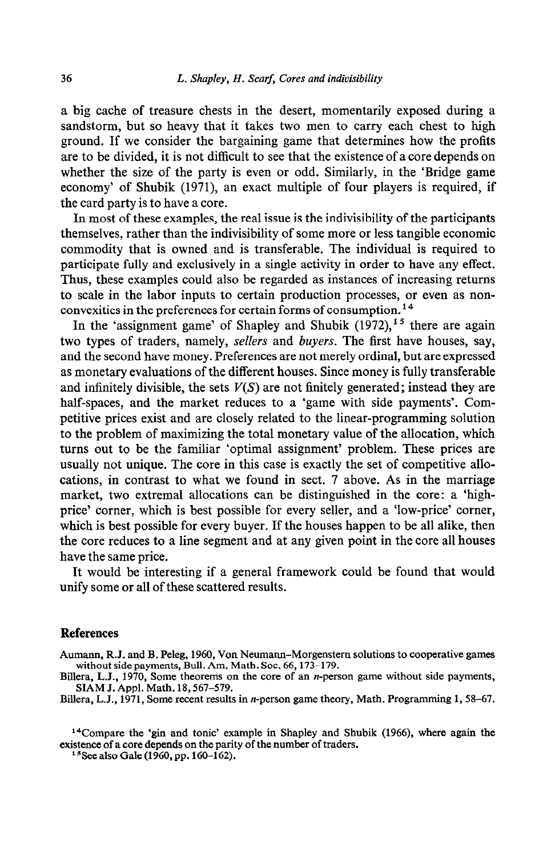a big cache of treasure chests in the desert, momentarily exposed during a sandstorm, but so heavy that it takes two men to carry each chest to high ground. If we consider the bargaining game that determines how the profits are to be divided, it is not difficult to see that the existence of a core depends on whether the size of the party is even or odd. Similarly, in the 'Bridge game economy' of Shubik (1971), an exact multiple of four players is required, if the card party is to have a core.

In most of these examples, the real issue is the indivisibility of the participants themselves, rather than the indivisibility of some more or less tangible economic commodity that is owned and is transferable. The individual is required to participate fully and exclusively in a single activity in order to have any effect. Thus, these examples could also be regarded as instances of increasing returns to scale in the labor inputs to certain production processes, or even as nonconvexities in the preferences for certain forms of consumption.<sup>14</sup>

In the 'assignment game' of Shapley and Shubik  $(1972)$ ,<sup>15</sup> there are again two types of traders, namely, *sellers* and *buyers.* The first have houses, say, and the second have money. Preferences are not merely ordinal, but are expressed as monetary evaluations of the different houses. Since money is fully transferable and infinitely divisible, the sets  $V(S)$  are not finitely generated; instead they are half-spaces, and the market reduces to a 'game with side payments'. Competitive prices exist and are closely related to the linear-programming solution to the problem of maximizing the total monetary value of the allocation, which turns out to be the familiar 'optimal assignment' problem. These prices are usually not unique. The core in this case is exactly the set of competitive allocations, in contrast to what we found in sect. 7 above. As in the marriage market, two extremal allocations can be distinguished in the core: a 'highprice' corner, which is best possible for every seller, and a 'low-price' corner, which is best possible for every buyer. If the houses happen to be all alike, then the core reduces to a line segment and at any given point in the core all houses have the same price.

It would be interesting if a general framework could be found that would unify some or all of these scattered results.

### **References**

Aumann, R.J. and B. Peleg, 1960, Von Neumann-Morgenstern solutions to cooperative games without side payments, Bull. Am. Math. Soc. 66, 173-179.

Billera, L.J., 1970, Some theorems on the core of an *n*-person game without side payments, SIAM J. Appl. Math. 18,567-579.

Billera, L.J., 1971, Some recent results in *n*-person game theory, Math. Programming 1, 58–67.

 $14$ Compare the 'gin and tonic' example in Shapley and Shubik (1966), where again the existence of a core depends on the parity of the number of traders.

 $15$ See also Gale (1960, pp. 160-162).